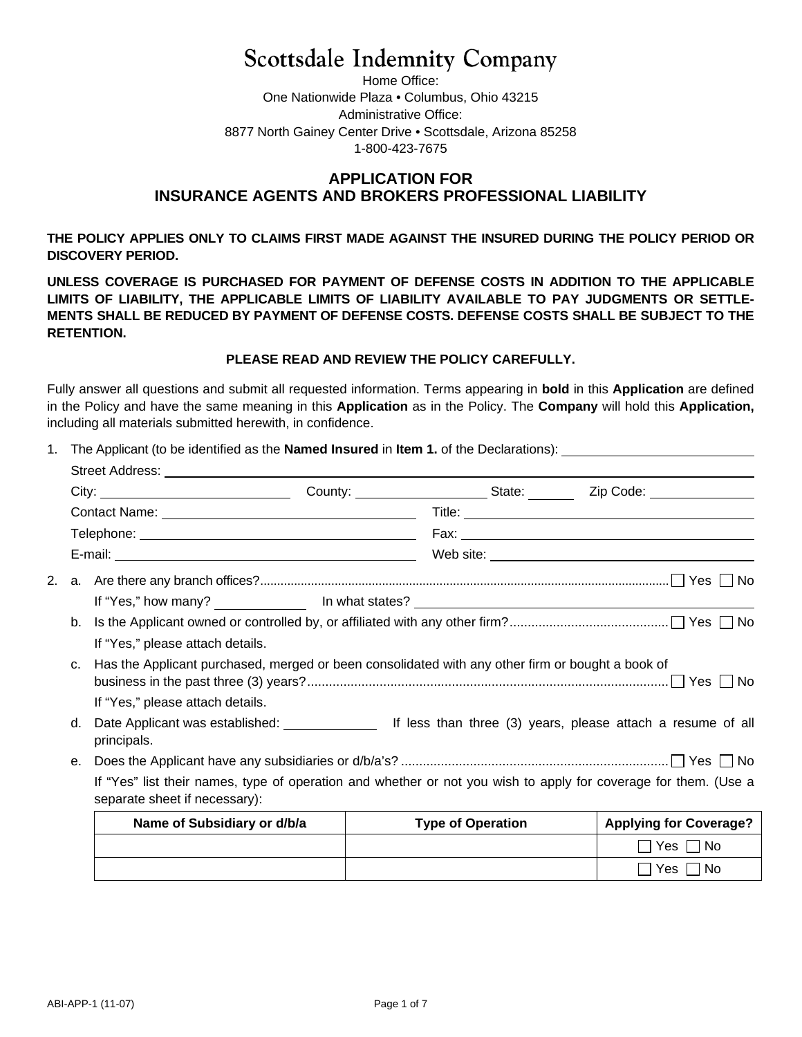# **Scottsdale Indemnity Company**

Home Office: One Nationwide Plaza • Columbus, Ohio 43215 Administrative Office: 8877 North Gainey Center Drive • Scottsdale, Arizona 85258 1-800-423-7675

# **APPLICATION FOR INSURANCE AGENTS AND BROKERS PROFESSIONAL LIABILITY**

**THE POLICY APPLIES ONLY TO CLAIMS FIRST MADE AGAINST THE INSURED DURING THE POLICY PERIOD OR DISCOVERY PERIOD.** 

**UNLESS COVERAGE IS PURCHASED FOR PAYMENT OF DEFENSE COSTS IN ADDITION TO THE APPLICABLE LIMITS OF LIABILITY, THE APPLICABLE LIMITS OF LIABILITY AVAILABLE TO PAY JUDGMENTS OR SETTLE-MENTS SHALL BE REDUCED BY PAYMENT OF DEFENSE COSTS. DEFENSE COSTS SHALL BE SUBJECT TO THE RETENTION.** 

### **PLEASE READ AND REVIEW THE POLICY CAREFULLY.**

Fully answer all questions and submit all requested information. Terms appearing in **bold** in this **Application** are defined in the Policy and have the same meaning in this **Application** as in the Policy. The **Company** will hold this **Application,** including all materials submitted herewith, in confidence.

1. The Applicant (to be identified as the **Named Insured** in **Item 1.** of the Declarations):

|                                  | City: City: County: County: County: State: Zip Code: ____________________________                                                                |                          |                               |  |  |  |  |
|----------------------------------|--------------------------------------------------------------------------------------------------------------------------------------------------|--------------------------|-------------------------------|--|--|--|--|
|                                  |                                                                                                                                                  |                          |                               |  |  |  |  |
|                                  |                                                                                                                                                  |                          |                               |  |  |  |  |
|                                  |                                                                                                                                                  |                          |                               |  |  |  |  |
|                                  |                                                                                                                                                  |                          |                               |  |  |  |  |
|                                  |                                                                                                                                                  |                          |                               |  |  |  |  |
| b.                               |                                                                                                                                                  |                          |                               |  |  |  |  |
| If "Yes," please attach details. |                                                                                                                                                  |                          |                               |  |  |  |  |
| C <sub>1</sub>                   | Has the Applicant purchased, merged or been consolidated with any other firm or bought a book of                                                 |                          |                               |  |  |  |  |
|                                  | If "Yes," please attach details.                                                                                                                 |                          |                               |  |  |  |  |
| d.                               | principals.                                                                                                                                      |                          |                               |  |  |  |  |
| е.                               |                                                                                                                                                  |                          |                               |  |  |  |  |
|                                  | If "Yes" list their names, type of operation and whether or not you wish to apply for coverage for them. (Use a<br>separate sheet if necessary): |                          |                               |  |  |  |  |
|                                  | Name of Subsidiary or d/b/a                                                                                                                      | <b>Type of Operation</b> | <b>Applying for Coverage?</b> |  |  |  |  |
|                                  |                                                                                                                                                  |                          | ■ Yes ■ No                    |  |  |  |  |
|                                  |                                                                                                                                                  |                          |                               |  |  |  |  |

 $\Box$  Yes  $\Box$  No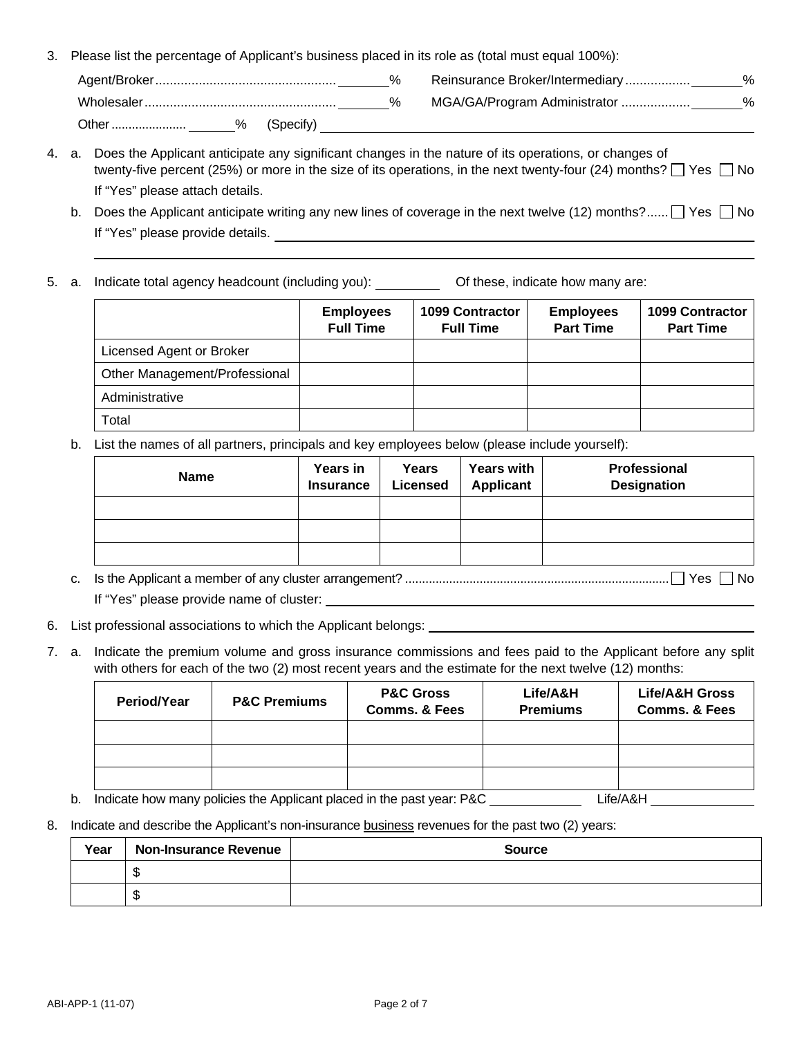3. Please list the percentage of Applicant's business placed in its role as (total must equal 100%):

|       |           | % | Reinsurance Broker/Intermediary | % |
|-------|-----------|---|---------------------------------|---|
|       |           |   | MGA/GA/Program Administrator    | ℅ |
| Other | (Specify) |   |                                 |   |

- 4. a. Does the Applicant anticipate any significant changes in the nature of its operations, or changes of twenty-five percent (25%) or more in the size of its operations, in the next twenty-four (24) months?  $\Box$  Yes  $\Box$  No If "Yes" please attach details.
	- b. Does the Applicant anticipate writing any new lines of coverage in the next twelve (12) months?......  $\Box$  Yes  $\Box$  No If "Yes" please provide details.
- 5. a. Indicate total agency headcount (including you): Of these, indicate how many are:

|                               | <b>Employees</b><br><b>Full Time</b> | <b>1099 Contractor</b><br><b>Full Time</b> | <b>Employees</b><br><b>Part Time</b> | <b>1099 Contractor</b><br><b>Part Time</b> |
|-------------------------------|--------------------------------------|--------------------------------------------|--------------------------------------|--------------------------------------------|
| Licensed Agent or Broker      |                                      |                                            |                                      |                                            |
| Other Management/Professional |                                      |                                            |                                      |                                            |
| Administrative                |                                      |                                            |                                      |                                            |
| Total                         |                                      |                                            |                                      |                                            |

b. List the names of all partners, principals and key employees below (please include yourself):

| <b>Name</b> | Years in<br><b>Insurance</b> | Years<br><b>Licensed</b> | <b>Years with</b><br>Applicant | Professional<br><b>Designation</b> |
|-------------|------------------------------|--------------------------|--------------------------------|------------------------------------|
|             |                              |                          |                                |                                    |
|             |                              |                          |                                |                                    |
|             |                              |                          |                                |                                    |

- c. Is the Applicant a member of any cluster arrangement? .............................................................................. Yes No If "Yes" please provide name of cluster:
- 6. List professional associations to which the Applicant belongs:
- 7. a. Indicate the premium volume and gross insurance commissions and fees paid to the Applicant before any split with others for each of the two (2) most recent years and the estimate for the next twelve (12) months:

| Period/Year                                                                                                  | <b>P&amp;C Premiums</b> | <b>P&amp;C Gross</b><br><b>Comms. &amp; Fees</b> | Life/A&H<br><b>Premiums</b> | <b>Life/A&amp;H Gross</b><br><b>Comms. &amp; Fees</b> |  |  |
|--------------------------------------------------------------------------------------------------------------|-------------------------|--------------------------------------------------|-----------------------------|-------------------------------------------------------|--|--|
|                                                                                                              |                         |                                                  |                             |                                                       |  |  |
|                                                                                                              |                         |                                                  |                             |                                                       |  |  |
|                                                                                                              |                         |                                                  |                             |                                                       |  |  |
| The distribution of the contract of the contract of the contract of the contract of $\sim$ DAO.<br>1:1.10011 |                         |                                                  |                             |                                                       |  |  |

- b. Indicate how many policies the Applicant placed in the past year: P&C \_\_\_\_\_\_\_\_\_\_\_\_\_\_\_\_\_\_\_Life/A&H \_\_\_\_\_
- 8. Indicate and describe the Applicant's non-insurance business revenues for the past two (2) years:

| Year | <b>Non-Insurance Revenue</b> | <b>Source</b> |
|------|------------------------------|---------------|
|      | A.                           |               |
|      | đ<br>м.                      |               |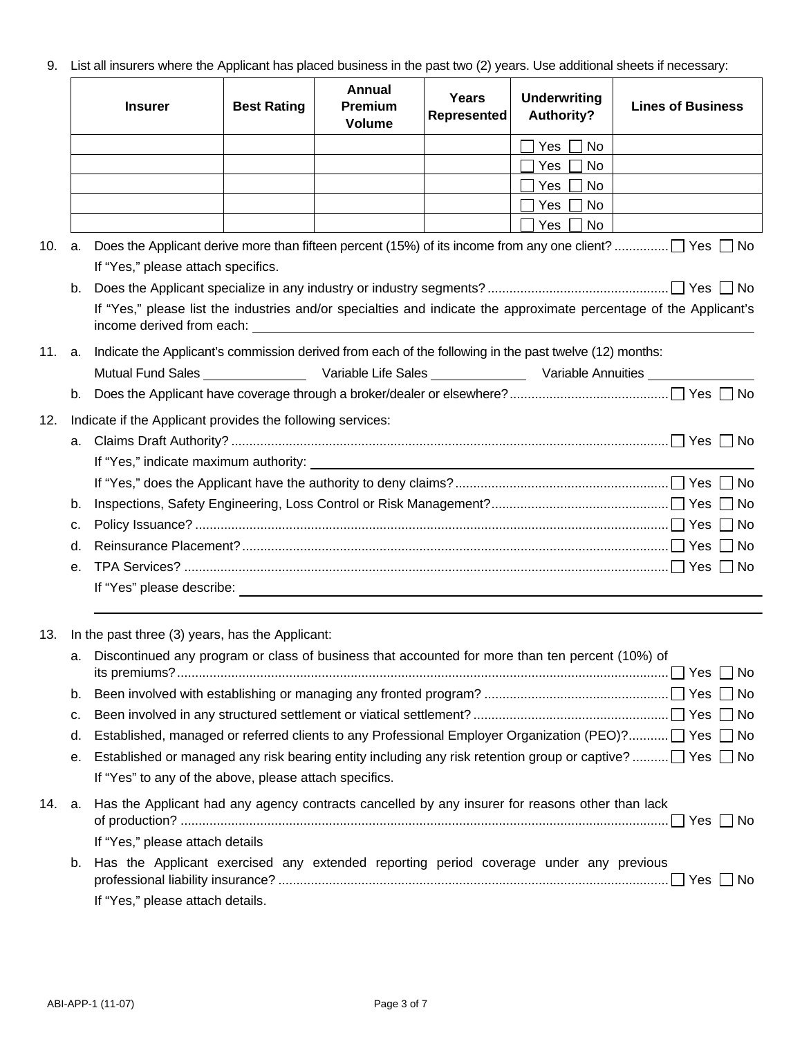9. List all insurers where the Applicant has placed business in the past two (2) years. Use additional sheets if necessary:

|        |    | <b>Insurer</b>                                                                                                                                                                                                                       | <b>Best Rating</b> | Annual<br><b>Premium</b><br><b>Volume</b> | Years<br><b>Represented</b> | <b>Underwriting</b><br><b>Authority?</b> | <b>Lines of Business</b>                                                                                           |  |  |  |  |
|--------|----|--------------------------------------------------------------------------------------------------------------------------------------------------------------------------------------------------------------------------------------|--------------------|-------------------------------------------|-----------------------------|------------------------------------------|--------------------------------------------------------------------------------------------------------------------|--|--|--|--|
|        |    |                                                                                                                                                                                                                                      |                    |                                           |                             | Yes [<br>  No                            |                                                                                                                    |  |  |  |  |
|        |    |                                                                                                                                                                                                                                      |                    |                                           |                             | Yes<br>No                                |                                                                                                                    |  |  |  |  |
|        |    |                                                                                                                                                                                                                                      |                    |                                           |                             | Yes<br>No.                               |                                                                                                                    |  |  |  |  |
|        |    |                                                                                                                                                                                                                                      |                    |                                           |                             | $\blacksquare$<br>Yes  <br>No            |                                                                                                                    |  |  |  |  |
|        |    |                                                                                                                                                                                                                                      |                    |                                           |                             | Yes<br>No.                               |                                                                                                                    |  |  |  |  |
| 10.    |    |                                                                                                                                                                                                                                      |                    |                                           |                             |                                          | a. Does the Applicant derive more than fifteen percent (15%) of its income from any one client?  │ Yes │ No        |  |  |  |  |
|        |    | If "Yes," please attach specifics.                                                                                                                                                                                                   |                    |                                           |                             |                                          |                                                                                                                    |  |  |  |  |
|        | b. | income derived from each: <u>contract and contract and contract and contract and contract and contract and contract and contract and contract and contract and contract and contract and contract and contract and contract and </u> |                    |                                           |                             |                                          | If "Yes," please list the industries and/or specialties and indicate the approximate percentage of the Applicant's |  |  |  |  |
| 11. a. |    | Indicate the Applicant's commission derived from each of the following in the past twelve (12) months:                                                                                                                               |                    |                                           |                             |                                          |                                                                                                                    |  |  |  |  |
|        |    |                                                                                                                                                                                                                                      |                    |                                           |                             |                                          |                                                                                                                    |  |  |  |  |
|        | b. |                                                                                                                                                                                                                                      |                    |                                           |                             |                                          |                                                                                                                    |  |  |  |  |
| 12.    |    | Indicate if the Applicant provides the following services:                                                                                                                                                                           |                    |                                           |                             |                                          |                                                                                                                    |  |  |  |  |
|        | a. |                                                                                                                                                                                                                                      |                    |                                           |                             |                                          |                                                                                                                    |  |  |  |  |
|        |    |                                                                                                                                                                                                                                      |                    |                                           |                             |                                          |                                                                                                                    |  |  |  |  |
|        |    |                                                                                                                                                                                                                                      |                    |                                           |                             |                                          |                                                                                                                    |  |  |  |  |
|        | b. |                                                                                                                                                                                                                                      |                    |                                           |                             |                                          |                                                                                                                    |  |  |  |  |
|        | с. |                                                                                                                                                                                                                                      |                    |                                           |                             |                                          |                                                                                                                    |  |  |  |  |
|        | d. |                                                                                                                                                                                                                                      |                    |                                           |                             |                                          |                                                                                                                    |  |  |  |  |
|        | е. |                                                                                                                                                                                                                                      |                    |                                           |                             |                                          |                                                                                                                    |  |  |  |  |
|        |    |                                                                                                                                                                                                                                      |                    |                                           |                             |                                          |                                                                                                                    |  |  |  |  |
| 13.    |    | In the past three (3) years, has the Applicant:                                                                                                                                                                                      |                    |                                           |                             |                                          |                                                                                                                    |  |  |  |  |
|        |    | a. Discontinued any program or class of business that accounted for more than ten percent (10%) of                                                                                                                                   |                    |                                           |                             |                                          |                                                                                                                    |  |  |  |  |
|        | b. |                                                                                                                                                                                                                                      |                    |                                           |                             |                                          |                                                                                                                    |  |  |  |  |
|        | с. |                                                                                                                                                                                                                                      |                    |                                           |                             |                                          |                                                                                                                    |  |  |  |  |
|        | d. | Established, managed or referred clients to any Professional Employer Organization (PEO)?□ Yes □ No                                                                                                                                  |                    |                                           |                             |                                          |                                                                                                                    |  |  |  |  |
|        | е. |                                                                                                                                                                                                                                      |                    |                                           |                             |                                          | Established or managed any risk bearing entity including any risk retention group or captive? $\Box$ Yes $\Box$ No |  |  |  |  |
|        |    | If "Yes" to any of the above, please attach specifics.                                                                                                                                                                               |                    |                                           |                             |                                          |                                                                                                                    |  |  |  |  |
| 14.    | а. | Has the Applicant had any agency contracts cancelled by any insurer for reasons other than lack                                                                                                                                      |                    |                                           |                             |                                          |                                                                                                                    |  |  |  |  |
|        |    | If "Yes," please attach details                                                                                                                                                                                                      |                    |                                           |                             |                                          |                                                                                                                    |  |  |  |  |
|        | b. | Has the Applicant exercised any extended reporting period coverage under any previous                                                                                                                                                |                    |                                           |                             |                                          |                                                                                                                    |  |  |  |  |
|        |    | If "Yes," please attach details.                                                                                                                                                                                                     |                    |                                           |                             |                                          |                                                                                                                    |  |  |  |  |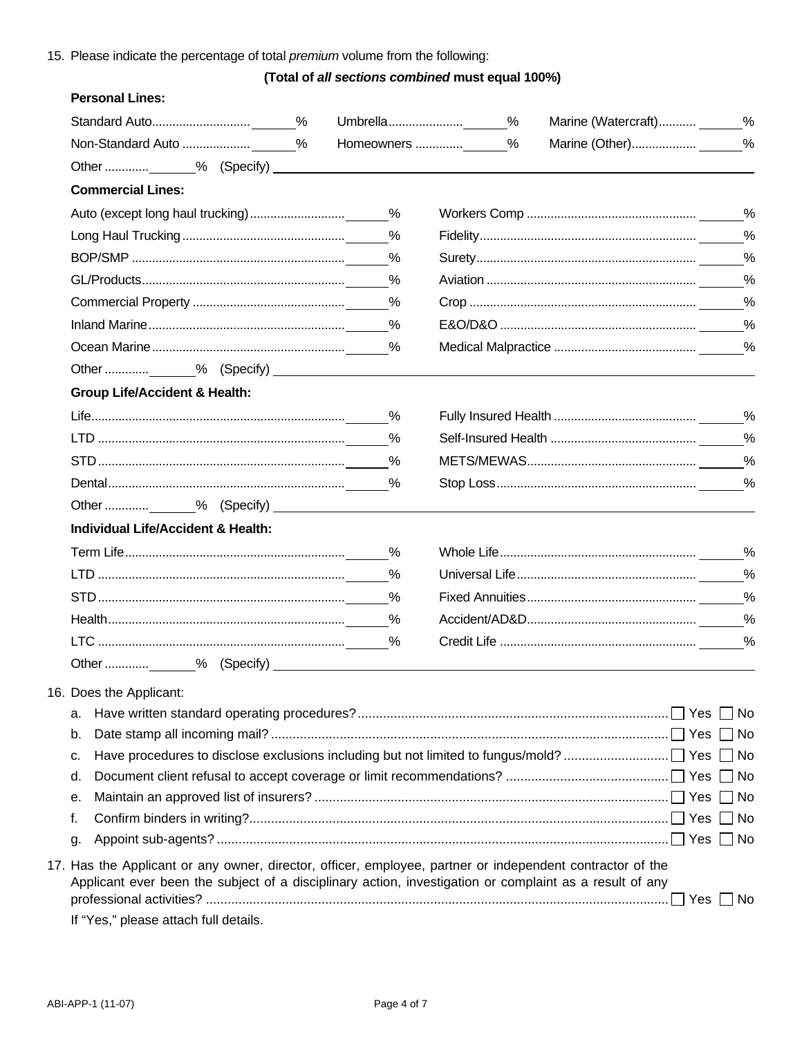# 15. Please indicate the percentage of total premium volume from the following:

# (Total of all sections combined must equal 100%)

#### **Personal Lines:**

|                                                                                                                                                                                                                                                               | Homeowners | % |               |
|---------------------------------------------------------------------------------------------------------------------------------------------------------------------------------------------------------------------------------------------------------------|------------|---|---------------|
|                                                                                                                                                                                                                                                               |            |   |               |
| <b>Commercial Lines:</b>                                                                                                                                                                                                                                      |            |   |               |
|                                                                                                                                                                                                                                                               |            |   |               |
|                                                                                                                                                                                                                                                               |            |   |               |
|                                                                                                                                                                                                                                                               | %          |   | $\frac{0}{0}$ |
|                                                                                                                                                                                                                                                               | %          |   | $\frac{0}{0}$ |
|                                                                                                                                                                                                                                                               |            |   |               |
|                                                                                                                                                                                                                                                               |            |   |               |
|                                                                                                                                                                                                                                                               |            |   |               |
|                                                                                                                                                                                                                                                               |            |   |               |
| <b>Group Life/Accident &amp; Health:</b>                                                                                                                                                                                                                      |            |   |               |
|                                                                                                                                                                                                                                                               |            |   |               |
|                                                                                                                                                                                                                                                               | $\%$       |   | $\frac{0}{0}$ |
|                                                                                                                                                                                                                                                               | %          |   | $\frac{0}{0}$ |
|                                                                                                                                                                                                                                                               |            |   |               |
|                                                                                                                                                                                                                                                               |            |   |               |
| <b>Individual Life/Accident &amp; Health:</b>                                                                                                                                                                                                                 |            |   |               |
|                                                                                                                                                                                                                                                               |            |   |               |
|                                                                                                                                                                                                                                                               | $\%$       |   |               |
|                                                                                                                                                                                                                                                               | %          |   |               |
|                                                                                                                                                                                                                                                               | $\%$       |   | $\%$          |
|                                                                                                                                                                                                                                                               | %          |   | %             |
|                                                                                                                                                                                                                                                               |            |   |               |
| 16. Does the Applicant:                                                                                                                                                                                                                                       |            |   |               |
| а.                                                                                                                                                                                                                                                            |            |   |               |
| b.                                                                                                                                                                                                                                                            |            |   |               |
| с.                                                                                                                                                                                                                                                            |            |   |               |
| d.                                                                                                                                                                                                                                                            |            |   |               |
| е.                                                                                                                                                                                                                                                            |            |   |               |
| f.                                                                                                                                                                                                                                                            |            |   |               |
| g.                                                                                                                                                                                                                                                            |            |   |               |
| 17. Has the Applicant or any owner, director, officer, employee, partner or independent contractor of the<br>Applicant ever been the subject of a disciplinary action, investigation or complaint as a result of any<br>If "Yes," please attach full details. |            |   |               |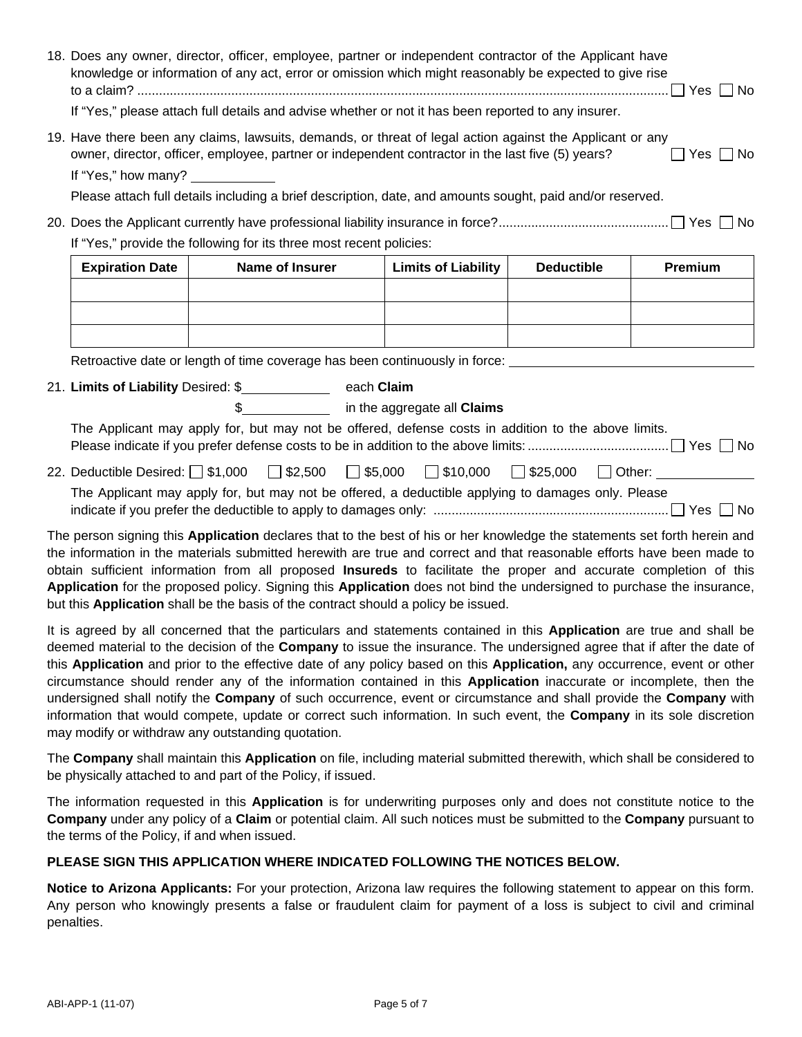| 18. Does any owner, director, officer, employee, partner or independent contractor of the Applicant have<br>knowledge or information of any act, error or omission which might reasonably be expected to give rise                                                                                                                                                                                                                                                                                 |                                                                                                                    |                            |                   |         |  |  |
|----------------------------------------------------------------------------------------------------------------------------------------------------------------------------------------------------------------------------------------------------------------------------------------------------------------------------------------------------------------------------------------------------------------------------------------------------------------------------------------------------|--------------------------------------------------------------------------------------------------------------------|----------------------------|-------------------|---------|--|--|
| If "Yes," please attach full details and advise whether or not it has been reported to any insurer.                                                                                                                                                                                                                                                                                                                                                                                                |                                                                                                                    |                            |                   |         |  |  |
| 19. Have there been any claims, lawsuits, demands, or threat of legal action against the Applicant or any<br>owner, director, officer, employee, partner or independent contractor in the last five (5) years?<br>$\Box$ Yes $\Box$ No<br>If "Yes," how many?                                                                                                                                                                                                                                      |                                                                                                                    |                            |                   |         |  |  |
|                                                                                                                                                                                                                                                                                                                                                                                                                                                                                                    | Please attach full details including a brief description, date, and amounts sought, paid and/or reserved.          |                            |                   |         |  |  |
|                                                                                                                                                                                                                                                                                                                                                                                                                                                                                                    |                                                                                                                    |                            |                   |         |  |  |
|                                                                                                                                                                                                                                                                                                                                                                                                                                                                                                    | If "Yes," provide the following for its three most recent policies:                                                |                            |                   |         |  |  |
| <b>Expiration Date</b>                                                                                                                                                                                                                                                                                                                                                                                                                                                                             | <b>Name of Insurer</b>                                                                                             | <b>Limits of Liability</b> | <b>Deductible</b> | Premium |  |  |
|                                                                                                                                                                                                                                                                                                                                                                                                                                                                                                    |                                                                                                                    |                            |                   |         |  |  |
|                                                                                                                                                                                                                                                                                                                                                                                                                                                                                                    |                                                                                                                    |                            |                   |         |  |  |
|                                                                                                                                                                                                                                                                                                                                                                                                                                                                                                    |                                                                                                                    |                            |                   |         |  |  |
|                                                                                                                                                                                                                                                                                                                                                                                                                                                                                                    | Retroactive date or length of time coverage has been continuously in force: _______________________                |                            |                   |         |  |  |
|                                                                                                                                                                                                                                                                                                                                                                                                                                                                                                    | 21. Limits of Liability Desired: \$_______________ each Claim                                                      |                            |                   |         |  |  |
|                                                                                                                                                                                                                                                                                                                                                                                                                                                                                                    | \$___________________ in the aggregate all Claims                                                                  |                            |                   |         |  |  |
|                                                                                                                                                                                                                                                                                                                                                                                                                                                                                                    | The Applicant may apply for, but may not be offered, defense costs in addition to the above limits.                |                            |                   |         |  |  |
|                                                                                                                                                                                                                                                                                                                                                                                                                                                                                                    | 22. Deductible Desired: $\Box$ \$1,000 $\Box$ \$2,500 $\Box$ \$5,000 $\Box$ \$10,000 $\Box$ \$25,000 $\Box$ Other: |                            |                   |         |  |  |
| The Applicant may apply for, but may not be offered, a deductible applying to damages only. Please                                                                                                                                                                                                                                                                                                                                                                                                 |                                                                                                                    |                            |                   |         |  |  |
| The person signing this Application declares that to the best of his or her knowledge the statements set forth herein and<br>the information in the materials submitted herewith are true and correct and that reasonable efforts have been made to<br>obtain sufficient information from all proposed Insureds to facilitate the proper and accurate completion of this<br>Application for the proposed policy. Signing this Application does not bind the undersigned to purchase the insurance, |                                                                                                                    |                            |                   |         |  |  |

It is agreed by all concerned that the particulars and statements contained in this **Application** are true and shall be deemed material to the decision of the **Company** to issue the insurance. The undersigned agree that if after the date of this **Application** and prior to the effective date of any policy based on this **Application,** any occurrence, event or other circumstance should render any of the information contained in this **Application** inaccurate or incomplete, then the undersigned shall notify the **Company** of such occurrence, event or circumstance and shall provide the **Company** with information that would compete, update or correct such information. In such event, the **Company** in its sole discretion may modify or withdraw any outstanding quotation.

The **Company** shall maintain this **Application** on file, including material submitted therewith, which shall be considered to be physically attached to and part of the Policy, if issued.

The information requested in this **Application** is for underwriting purposes only and does not constitute notice to the **Company** under any policy of a **Claim** or potential claim. All such notices must be submitted to the **Company** pursuant to the terms of the Policy, if and when issued.

## **PLEASE SIGN THIS APPLICATION WHERE INDICATED FOLLOWING THE NOTICES BELOW.**

but this **Application** shall be the basis of the contract should a policy be issued.

**Notice to Arizona Applicants:** For your protection, Arizona law requires the following statement to appear on this form. Any person who knowingly presents a false or fraudulent claim for payment of a loss is subject to civil and criminal penalties.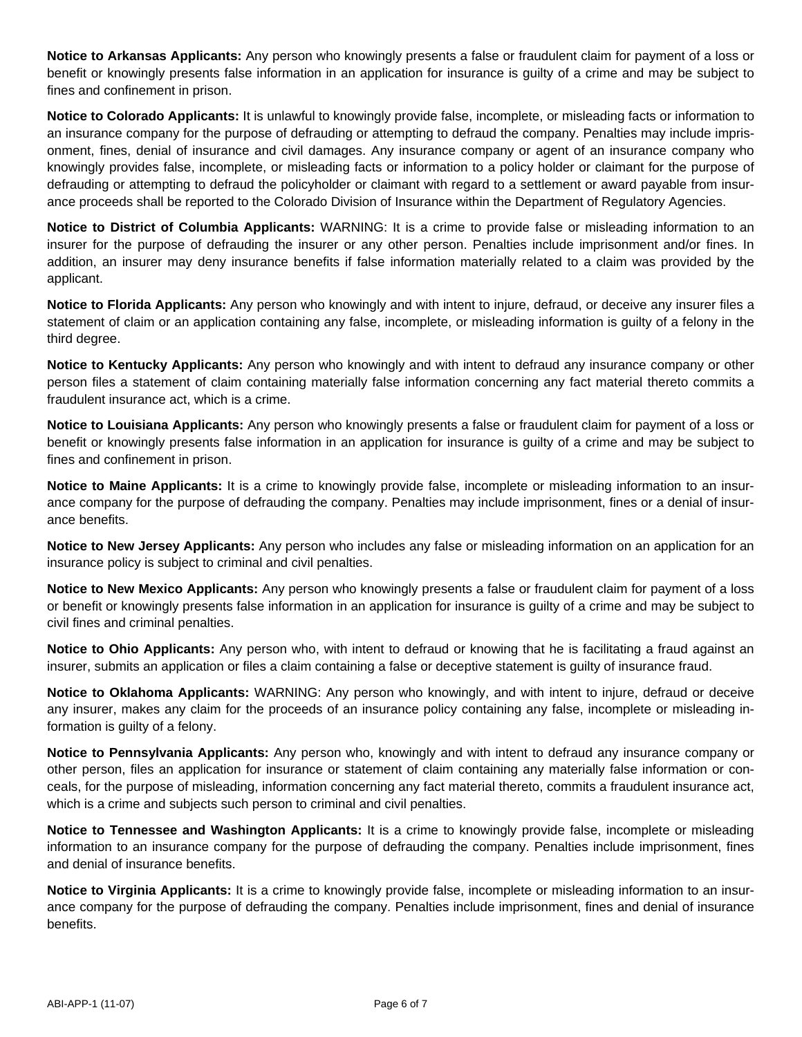**Notice to Arkansas Applicants:** Any person who knowingly presents a false or fraudulent claim for payment of a loss or benefit or knowingly presents false information in an application for insurance is guilty of a crime and may be subject to fines and confinement in prison.

**Notice to Colorado Applicants:** It is unlawful to knowingly provide false, incomplete, or misleading facts or information to an insurance company for the purpose of defrauding or attempting to defraud the company. Penalties may include imprisonment, fines, denial of insurance and civil damages. Any insurance company or agent of an insurance company who knowingly provides false, incomplete, or misleading facts or information to a policy holder or claimant for the purpose of defrauding or attempting to defraud the policyholder or claimant with regard to a settlement or award payable from insurance proceeds shall be reported to the Colorado Division of Insurance within the Department of Regulatory Agencies.

**Notice to District of Columbia Applicants:** WARNING: It is a crime to provide false or misleading information to an insurer for the purpose of defrauding the insurer or any other person. Penalties include imprisonment and/or fines. In addition, an insurer may deny insurance benefits if false information materially related to a claim was provided by the applicant.

**Notice to Florida Applicants:** Any person who knowingly and with intent to injure, defraud, or deceive any insurer files a statement of claim or an application containing any false, incomplete, or misleading information is guilty of a felony in the third degree.

**Notice to Kentucky Applicants:** Any person who knowingly and with intent to defraud any insurance company or other person files a statement of claim containing materially false information concerning any fact material thereto commits a fraudulent insurance act, which is a crime.

**Notice to Louisiana Applicants:** Any person who knowingly presents a false or fraudulent claim for payment of a loss or benefit or knowingly presents false information in an application for insurance is guilty of a crime and may be subject to fines and confinement in prison.

**Notice to Maine Applicants:** It is a crime to knowingly provide false, incomplete or misleading information to an insurance company for the purpose of defrauding the company. Penalties may include imprisonment, fines or a denial of insurance benefits.

**Notice to New Jersey Applicants:** Any person who includes any false or misleading information on an application for an insurance policy is subject to criminal and civil penalties.

**Notice to New Mexico Applicants:** Any person who knowingly presents a false or fraudulent claim for payment of a loss or benefit or knowingly presents false information in an application for insurance is guilty of a crime and may be subject to civil fines and criminal penalties.

**Notice to Ohio Applicants:** Any person who, with intent to defraud or knowing that he is facilitating a fraud against an insurer, submits an application or files a claim containing a false or deceptive statement is guilty of insurance fraud.

**Notice to Oklahoma Applicants:** WARNING: Any person who knowingly, and with intent to injure, defraud or deceive any insurer, makes any claim for the proceeds of an insurance policy containing any false, incomplete or misleading information is guilty of a felony.

**Notice to Pennsylvania Applicants:** Any person who, knowingly and with intent to defraud any insurance company or other person, files an application for insurance or statement of claim containing any materially false information or conceals, for the purpose of misleading, information concerning any fact material thereto, commits a fraudulent insurance act, which is a crime and subjects such person to criminal and civil penalties.

**Notice to Tennessee and Washington Applicants:** It is a crime to knowingly provide false, incomplete or misleading information to an insurance company for the purpose of defrauding the company. Penalties include imprisonment, fines and denial of insurance benefits.

**Notice to Virginia Applicants:** It is a crime to knowingly provide false, incomplete or misleading information to an insurance company for the purpose of defrauding the company. Penalties include imprisonment, fines and denial of insurance benefits.